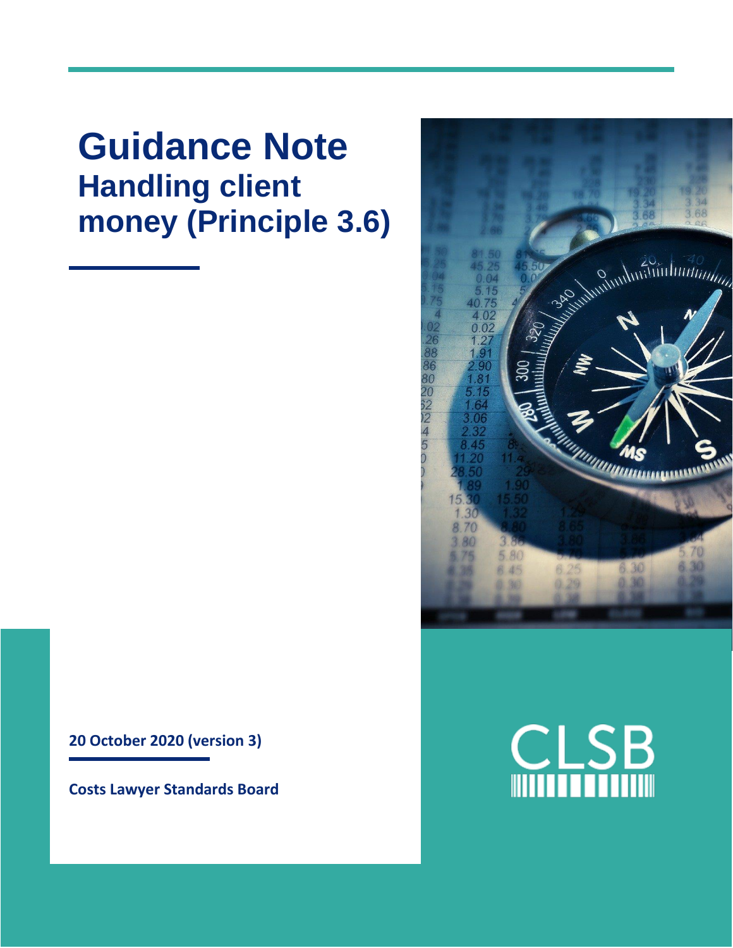**Guidance Note Handling client money (Principle 3.6)**

**20 October 2020 (version 3)**

**Costs Lawyer Standards Board**



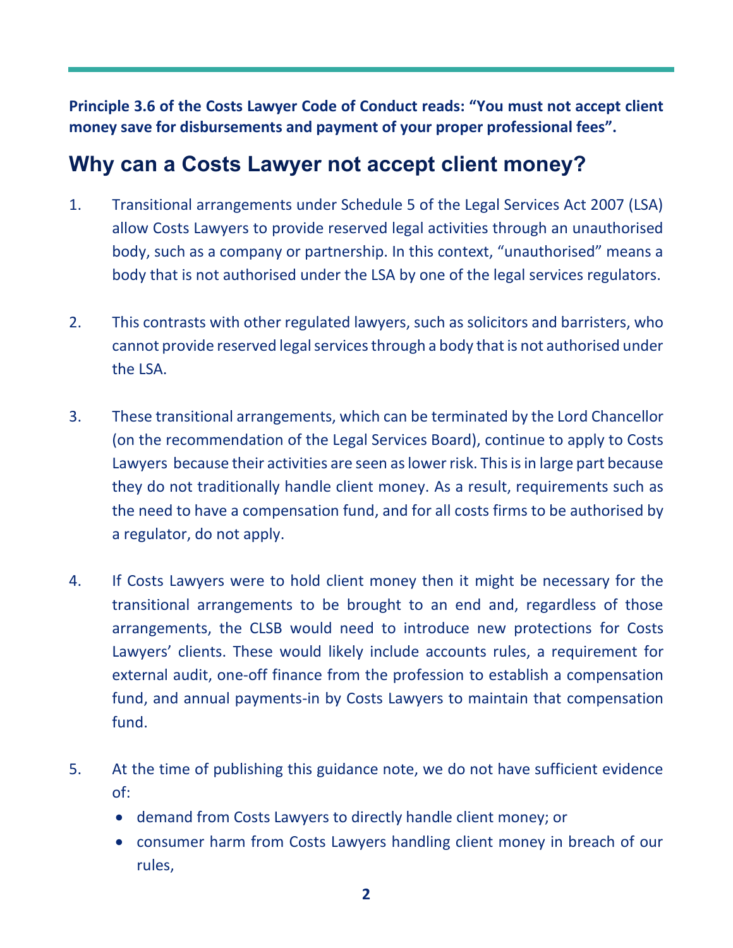**Principle 3.6 of the Costs Lawyer Code of Conduct reads: "You must not accept client money save for disbursements and payment of your proper professional fees".** 

#### **Why can a Costs Lawyer not accept client money?**

- 1. Transitional arrangements under Schedule 5 of the Legal Services Act 2007 (LSA) allow Costs Lawyers to provide reserved legal activities through an unauthorised body, such as a company or partnership. In this context, "unauthorised" means a body that is not authorised under the LSA by one of the legal services regulators.
- 2. This contrasts with other regulated lawyers, such as solicitors and barristers, who cannot provide reserved legal services through a body that is not authorised under the LSA.
- 3. These transitional arrangements, which can be terminated by the Lord Chancellor (on the recommendation of the Legal Services Board), continue to apply to Costs Lawyers because their activities are seen as lower risk. This is in large part because they do not traditionally handle client money. As a result, requirements such as the need to have a compensation fund, and for all costs firms to be authorised by a regulator, do not apply.
- 4. If Costs Lawyers were to hold client money then it might be necessary for the transitional arrangements to be brought to an end and, regardless of those arrangements, the CLSB would need to introduce new protections for Costs Lawyers' clients. These would likely include accounts rules, a requirement for external audit, one-off finance from the profession to establish a compensation fund, and annual payments-in by Costs Lawyers to maintain that compensation fund.
- 5. At the time of publishing this guidance note, we do not have sufficient evidence of:
	- demand from Costs Lawyers to directly handle client money; or
	- consumer harm from Costs Lawyers handling client money in breach of our rules,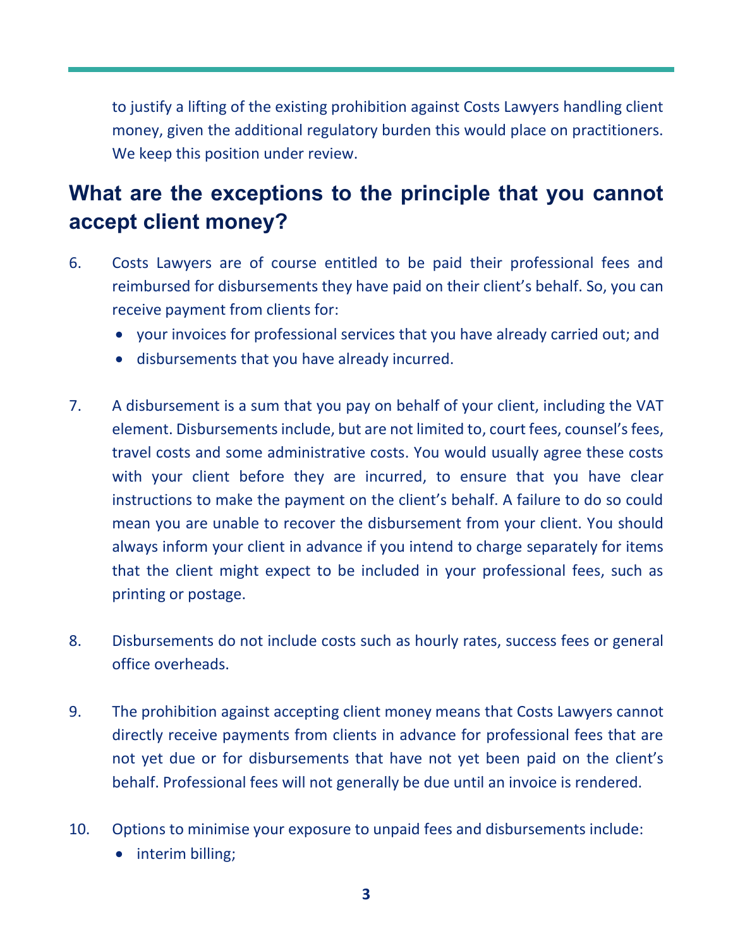to justify a lifting of the existing prohibition against Costs Lawyers handling client money, given the additional regulatory burden this would place on practitioners. We keep this position under review.

# **What are the exceptions to the principle that you cannot accept client money?**

- 6. Costs Lawyers are of course entitled to be paid their professional fees and reimbursed for disbursements they have paid on their client's behalf. So, you can receive payment from clients for:
	- your invoices for professional services that you have already carried out; and
	- disbursements that you have already incurred.
- 7. A disbursement is a sum that you pay on behalf of your client, including the VAT element. Disbursements include, but are not limited to, court fees, counsel's fees, travel costs and some administrative costs. You would usually agree these costs with your client before they are incurred, to ensure that you have clear instructions to make the payment on the client's behalf. A failure to do so could mean you are unable to recover the disbursement from your client. You should always inform your client in advance if you intend to charge separately for items that the client might expect to be included in your professional fees, such as printing or postage.
- 8. Disbursements do not include costs such as hourly rates, success fees or general office overheads.
- 9. The prohibition against accepting client money means that Costs Lawyers cannot directly receive payments from clients in advance for professional fees that are not yet due or for disbursements that have not yet been paid on the client's behalf. Professional fees will not generally be due until an invoice is rendered.
- 10. Options to minimise your exposure to unpaid fees and disbursements include:
	- interim billing;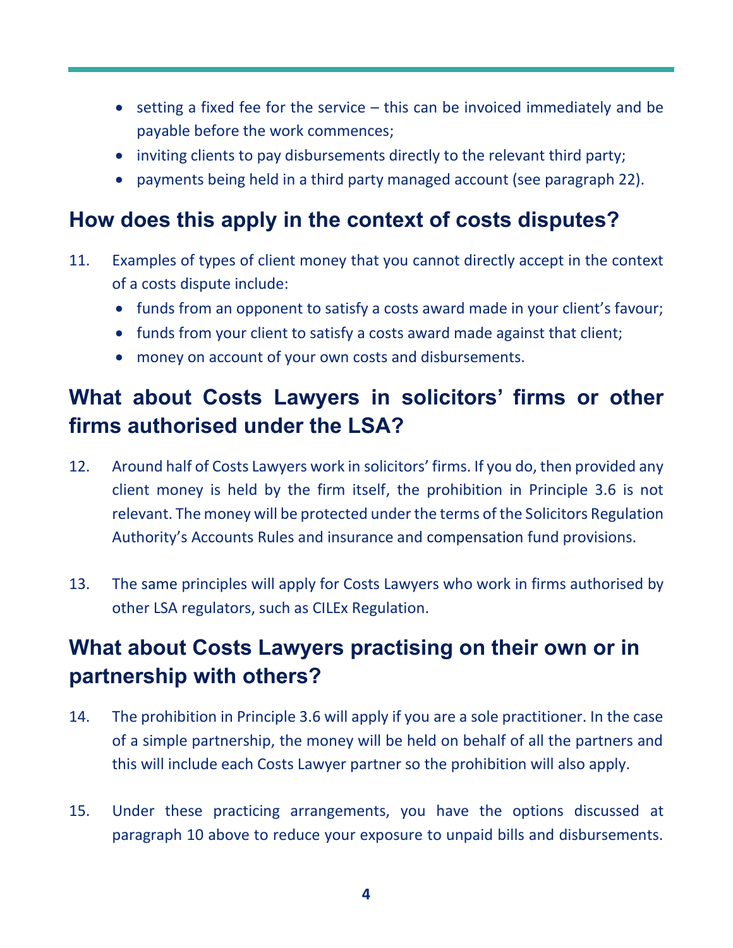- setting a fixed fee for the service this can be invoiced immediately and be payable before the work commences;
- inviting clients to pay disbursements directly to the relevant third party;
- payments being held in a third party managed account (see paragraph 22).

#### **How does this apply in the context of costs disputes?**

- 11. Examples of types of client money that you cannot directly accept in the context of a costs dispute include:
	- funds from an opponent to satisfy a costs award made in your client's favour;
	- funds from your client to satisfy a costs award made against that client;
	- money on account of your own costs and disbursements.

# **What about Costs Lawyers in solicitors' firms or other firms authorised under the LSA?**

- 12. Around half of Costs Lawyers work in solicitors' firms. If you do, then provided any client money is held by the firm itself, the prohibition in Principle 3.6 is not relevant. The money will be protected under the terms of the Solicitors Regulation Authority's Accounts Rules and insurance and compensation fund provisions.
- 13. The same principles will apply for Costs Lawyers who work in firms authorised by other LSA regulators, such as CILEx Regulation.

# **What about Costs Lawyers practising on their own or in partnership with others?**

- 14. The prohibition in Principle 3.6 will apply if you are a sole practitioner. In the case of a simple partnership, the money will be held on behalf of all the partners and this will include each Costs Lawyer partner so the prohibition will also apply.
- 15. Under these practicing arrangements, you have the options discussed at paragraph 10 above to reduce your exposure to unpaid bills and disbursements.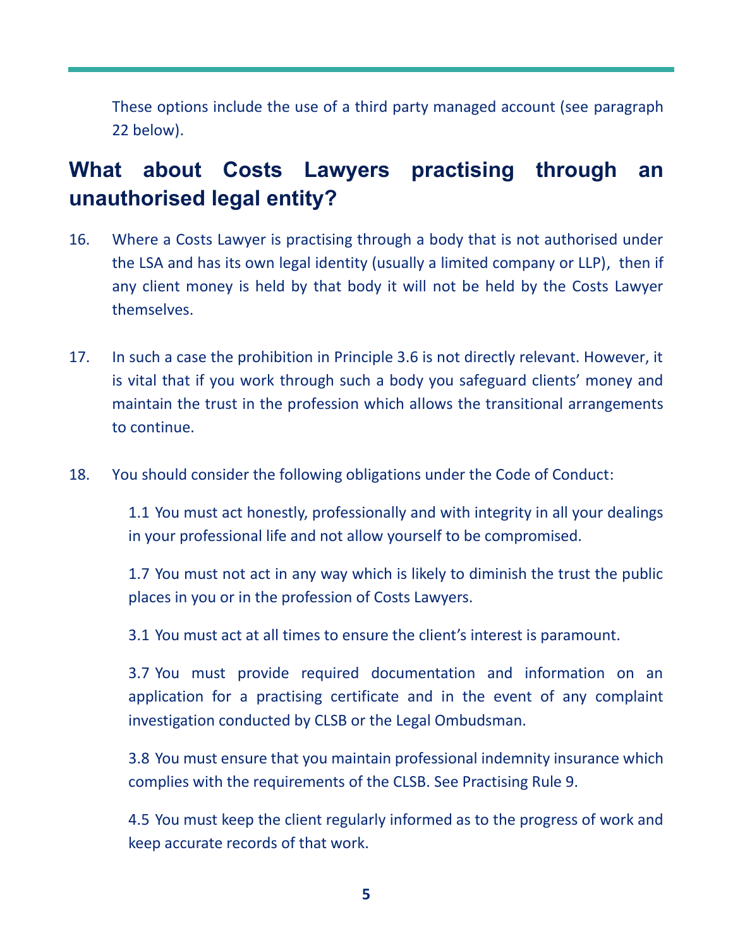These options include the use of a third party managed account (see paragraph 22 below).

# **What about Costs Lawyers practising through an unauthorised legal entity?**

- 16. Where a Costs Lawyer is practising through a body that is not authorised under the LSA and has its own legal identity (usually a limited company or LLP), then if any client money is held by that body it will not be held by the Costs Lawyer themselves.
- 17. In such a case the prohibition in Principle 3.6 is not directly relevant. However, it is vital that if you work through such a body you safeguard clients' money and maintain the trust in the profession which allows the transitional arrangements to continue.
- 18. You should consider the following obligations under the Code of Conduct:

1.1 You must act honestly, professionally and with integrity in all your dealings in your professional life and not allow yourself to be compromised.

1.7 You must not act in any way which is likely to diminish the trust the public places in you or in the profession of Costs Lawyers.

3.1 You must act at all times to ensure the client's interest is paramount.

3.7 You must provide required documentation and information on an application for a practising certificate and in the event of any complaint investigation conducted by CLSB or the Legal Ombudsman.

3.8 You must ensure that you maintain professional indemnity insurance which complies with the requirements of the CLSB. See Practising Rule 9.

4.5 You must keep the client regularly informed as to the progress of work and keep accurate records of that work.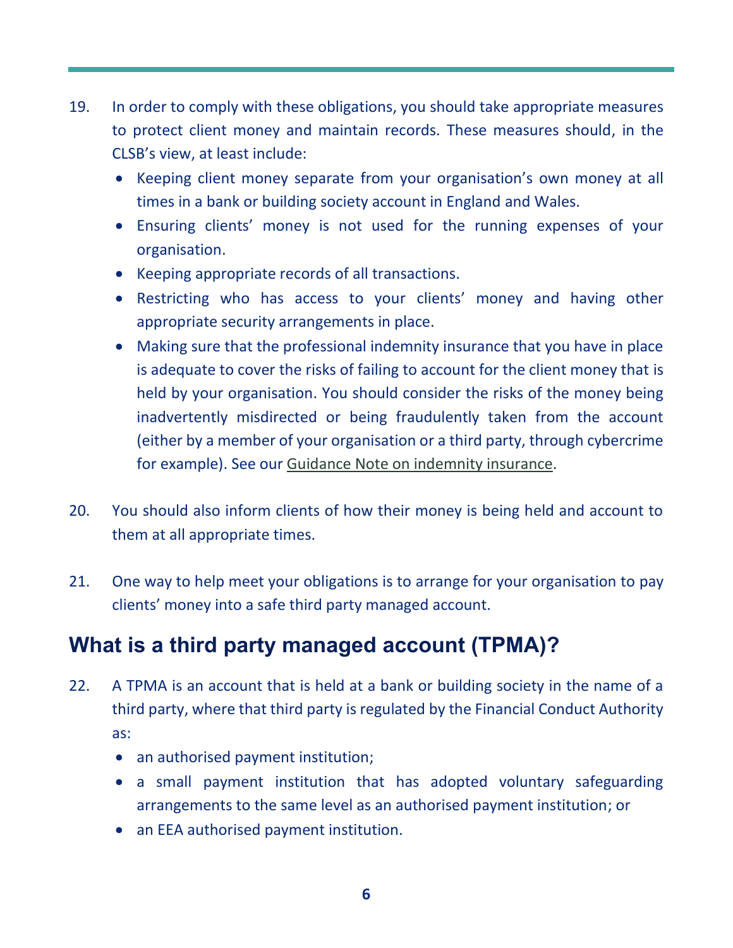- 19. In order to comply with these obligations, you should take appropriate measures to protect client money and maintain records. These measures should, in the CLSB's view, at least include:
	- Keeping client money separate from your organisation's own money at all times in a bank or building society account in England and Wales.
	- Ensuring clients' money is not used for the running expenses of your organisation.
	- Keeping appropriate records of all transactions.
	- Restricting who has access to your clients' money and having other appropriate security arrangements in place.
	- Making sure that the professional indemnity insurance that you have in place is adequate to cover the risks of failing to account for the client money that is held by your organisation. You should consider the risks of the money being inadvertently misdirected or being fraudulently taken from the account (either by a member of your organisation or a third party, through cybercrime for example). See our [Guidance Note on indemnity insurance.](https://clsb.info/for-costs-lawyers/costs-lawyer-handbook/)
- 20. You should also inform clients of how their money is being held and account to them at all appropriate times.
- 21. One way to help meet your obligations is to arrange for your organisation to pay clients' money into a safe third party managed account.

# **What is a third party managed account (TPMA)?**

- 22. A TPMA is an account that is held at a bank or building society in the name of a third party, where that third party is regulated by the Financial Conduct Authority as:
	- an authorised payment institution;
	- a small payment institution that has adopted voluntary safeguarding arrangements to the same level as an authorised payment institution; or
	- an EEA authorised payment institution.